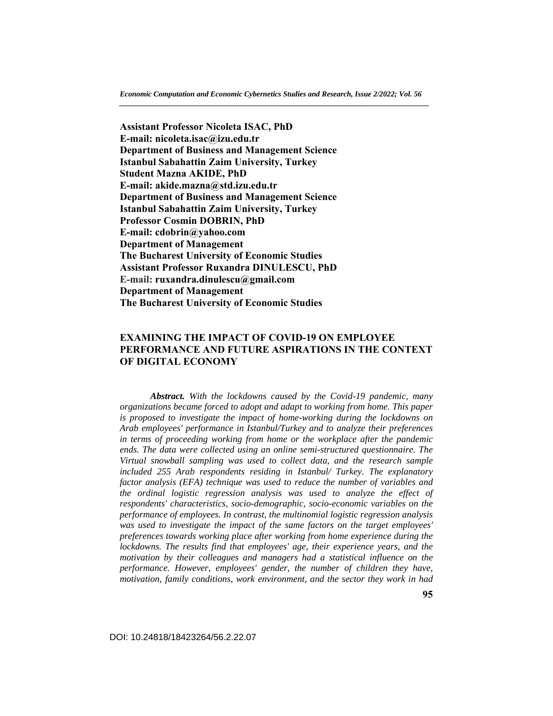**Assistant Professor Nicoleta ISAC, PhD E-mail: nicoleta.isac@izu.edu.tr Department of Business and Management Science Istanbul Sabahattin Zaim University, Turkey Student Mazna AKIDE, PhD E-mail: akide.mazna@std.izu.edu.tr Department of Business and Management Science Istanbul Sabahattin Zaim University, Turkey Professor Cosmin DOBRIN, PhD E-mail: cdobrin@yahoo.com Department of Management The Bucharest University of Economic Studies Assistant Professor Ruxandra DINULESCU, PhD E-mail: ruxandra.dinulescu@gmail.com Department of Management The Bucharest University of Economic Studies** 

# **EXAMINING THE IMPACT OF COVID-19 ON EMPLOYEE PERFORMANCE AND FUTURE ASPIRATIONS IN THE CONTEXT OF DIGITAL ECONOMY**

 *Abstract. With the lockdowns caused by the Covid-19 pandemic, many organizations became forced to adopt and adapt to working from home. This paper is proposed to investigate the impact of home-working during the lockdowns on Arab employees' performance in Istanbul/Turkey and to analyze their preferences in terms of proceeding working from home or the workplace after the pandemic ends. The data were collected using an online semi-structured questionnaire. The Virtual snowball sampling was used to collect data, and the research sample included 255 Arab respondents residing in Istanbul/ Turkey. The explanatory factor analysis (EFA) technique was used to reduce the number of variables and the ordinal logistic regression analysis was used to analyze the effect of respondents' characteristics, socio-demographic, socio-economic variables on the performance of employees. In contrast, the multinomial logistic regression analysis was used to investigate the impact of the same factors on the target employees' preferences towards working place after working from home experience during the lockdowns. The results find that employees' age, their experience years, and the motivation by their colleagues and managers had a statistical influence on the performance. However, employees' gender, the number of children they have, motivation, family conditions, work environment, and the sector they work in had* 

DOI: 10.24818/18423264/56.2.22.07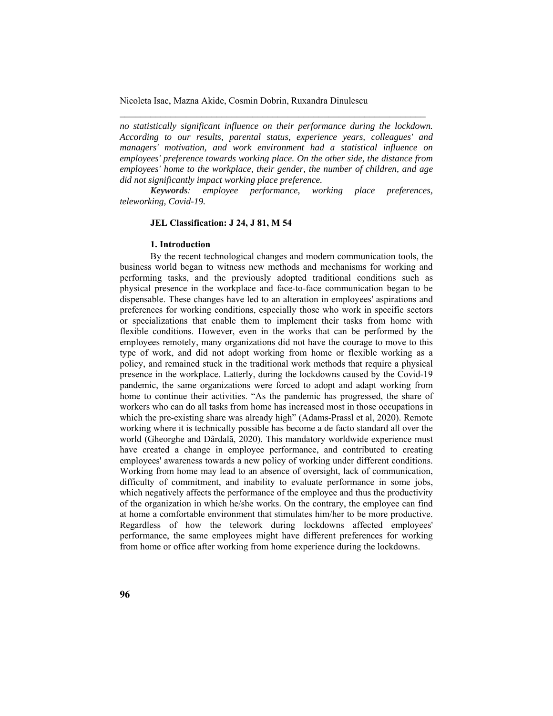*no statistically significant influence on their performance during the lockdown. According to our results, parental status, experience years, colleagues' and managers' motivation, and work environment had a statistical influence on employees' preference towards working place. On the other side, the distance from employees' home to the workplace, their gender, the number of children, and age did not significantly impact working place preference.*

\_\_\_\_\_\_\_\_\_\_\_\_\_\_\_\_\_\_\_\_\_\_\_\_\_\_\_\_\_\_\_\_\_\_\_\_\_\_\_\_\_\_\_\_\_\_\_\_\_\_\_\_\_\_\_\_\_\_\_\_

*Keywords: employee performance, working place preferences, teleworking, Covid-19.*

### **JEL Classification: J 24, J 81, M 54**

#### **1. Introduction**

By the recent technological changes and modern communication tools, the business world began to witness new methods and mechanisms for working and performing tasks, and the previously adopted traditional conditions such as physical presence in the workplace and face-to-face communication began to be dispensable. These changes have led to an alteration in employees' aspirations and preferences for working conditions, especially those who work in specific sectors or specializations that enable them to implement their tasks from home with flexible conditions. However, even in the works that can be performed by the employees remotely, many organizations did not have the courage to move to this type of work, and did not adopt working from home or flexible working as a policy, and remained stuck in the traditional work methods that require a physical presence in the workplace. Latterly, during the lockdowns caused by the Covid-19 pandemic, the same organizations were forced to adopt and adapt working from home to continue their activities. "As the pandemic has progressed, the share of workers who can do all tasks from home has increased most in those occupations in which the pre-existing share was already high" (Adams-Prassl et al, 2020). Remote working where it is technically possible has become a de facto standard all over the world (Gheorghe and Dârdală, 2020). This mandatory worldwide experience must have created a change in employee performance, and contributed to creating employees' awareness towards a new policy of working under different conditions. Working from home may lead to an absence of oversight, lack of communication, difficulty of commitment, and inability to evaluate performance in some jobs, which negatively affects the performance of the employee and thus the productivity of the organization in which he/she works. On the contrary, the employee can find at home a comfortable environment that stimulates him/her to be more productive. Regardless of how the telework during lockdowns affected employees' performance, the same employees might have different preferences for working from home or office after working from home experience during the lockdowns.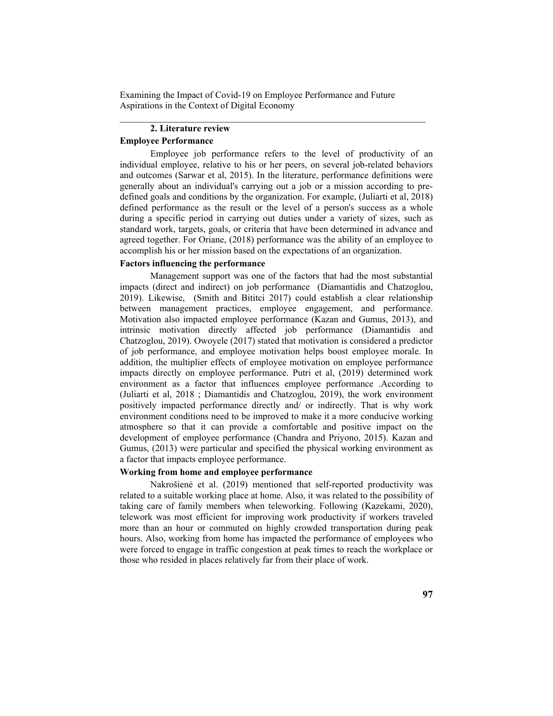$\mathcal{L}_\text{max}$  and the contract of the contract of the contract of the contract of the contract of the contract of

# **2. Literature review**

# **Employee Performance**

Employee job performance refers to the level of productivity of an individual employee, relative to his or her peers, on several job-related behaviors and outcomes (Sarwar et al, 2015). In the literature, performance definitions were generally about an individual's carrying out a job or a mission according to predefined goals and conditions by the organization. For example, (Juliarti et al, 2018) defined performance as the result or the level of a person's success as a whole during a specific period in carrying out duties under a variety of sizes, such as standard work, targets, goals, or criteria that have been determined in advance and agreed together. For Oriane, (2018) performance was the ability of an employee to accomplish his or her mission based on the expectations of an organization.

## **Factors influencing the performance**

Management support was one of the factors that had the most substantial impacts (direct and indirect) on job performance (Diamantidis and Chatzoglou, 2019). Likewise, (Smith and Bititci 2017) could establish a clear relationship between management practices, employee engagement, and performance. Motivation also impacted employee performance (Kazan and Gumus, 2013), and intrinsic motivation directly affected job performance (Diamantidis and Chatzoglou, 2019). Owoyele (2017) stated that motivation is considered a predictor of job performance, and employee motivation helps boost employee morale. In addition, the multiplier effects of employee motivation on employee performance impacts directly on employee performance. Putri et al, (2019) determined work environment as a factor that influences employee performance .According to (Juliarti et al, 2018 ; Diamantidis and Chatzoglou, 2019), the work environment positively impacted performance directly and/ or indirectly. That is why work environment conditions need to be improved to make it a more conducive working atmosphere so that it can provide a comfortable and positive impact on the development of employee performance (Chandra and Priyono, 2015). Kazan and Gumus, (2013) were particular and specified the physical working environment as a factor that impacts employee performance.

# **Working from home and employee performance**

 Nakrošienė et al. (2019) mentioned that self-reported productivity was related to a suitable working place at home. Also, it was related to the possibility of taking care of family members when teleworking. Following (Kazekami, 2020), telework was most efficient for improving work productivity if workers traveled more than an hour or commuted on highly crowded transportation during peak hours. Also, working from home has impacted the performance of employees who were forced to engage in traffic congestion at peak times to reach the workplace or those who resided in places relatively far from their place of work.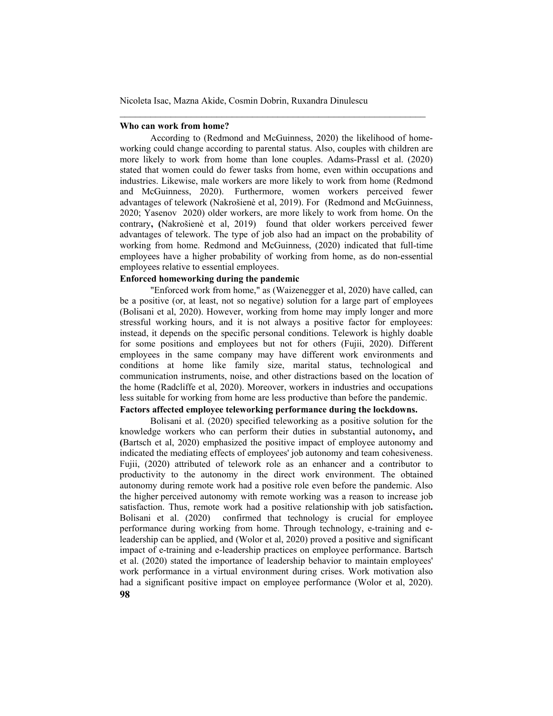#### **Who can work from home?**

According to (Redmond and McGuinness, 2020) the likelihood of homeworking could change according to parental status. Also, couples with children are more likely to work from home than lone couples. Adams-Prassl et al. (2020) stated that women could do fewer tasks from home, even within occupations and industries. Likewise, male workers are more likely to work from home (Redmond and McGuinness, 2020). Furthermore, women workers perceived fewer advantages of telework (Nakrošienė et al, 2019). For (Redmond and McGuinness, 2020; Yasenov 2020) older workers, are more likely to work from home. On the contrary**, (**Nakrošienė et al, 2019) found that older workers perceived fewer advantages of telework. The type of job also had an impact on the probability of working from home. Redmond and McGuinness, (2020) indicated that full-time employees have a higher probability of working from home, as do non-essential employees relative to essential employees.

\_\_\_\_\_\_\_\_\_\_\_\_\_\_\_\_\_\_\_\_\_\_\_\_\_\_\_\_\_\_\_\_\_\_\_\_\_\_\_\_\_\_\_\_\_\_\_\_\_\_\_\_\_\_\_\_\_\_\_\_

## **Enforced homeworking during the pandemic**

"Enforced work from home," as (Waizenegger et al, 2020) have called, can be a positive (or, at least, not so negative) solution for a large part of employees (Bolisani et al, 2020). However, working from home may imply longer and more stressful working hours, and it is not always a positive factor for employees: instead, it depends on the specific personal conditions. Telework is highly doable for some positions and employees but not for others (Fujii, 2020). Different employees in the same company may have different work environments and conditions at home like family size, marital status, technological and communication instruments, noise, and other distractions based on the location of the home (Radcliffe et al, 2020). Moreover, workers in industries and occupations less suitable for working from home are less productive than before the pandemic.

## **Factors affected employee teleworking performance during the lockdowns.**

**98**  Bolisani et al. (2020) specified teleworking as a positive solution for the knowledge workers who can perform their duties in substantial autonomy**,** and **(**Bartsch et al, 2020) emphasized the positive impact of employee autonomy and indicated the mediating effects of employees' job autonomy and team cohesiveness. Fujii, (2020) attributed of telework role as an enhancer and a contributor to productivity to the autonomy in the direct work environment. The obtained autonomy during remote work had a positive role even before the pandemic. Also the higher perceived autonomy with remote working was a reason to increase job satisfaction. Thus, remote work had a positive relationship with job satisfaction**.**  Bolisani et al. (2020) confirmed that technology is crucial for employee performance during working from home. Through technology, e-training and eleadership can be applied, and (Wolor et al, 2020) proved a positive and significant impact of e-training and e-leadership practices on employee performance. Bartsch et al. (2020) stated the importance of leadership behavior to maintain employees' work performance in a virtual environment during crises. Work motivation also had a significant positive impact on employee performance (Wolor et al, 2020).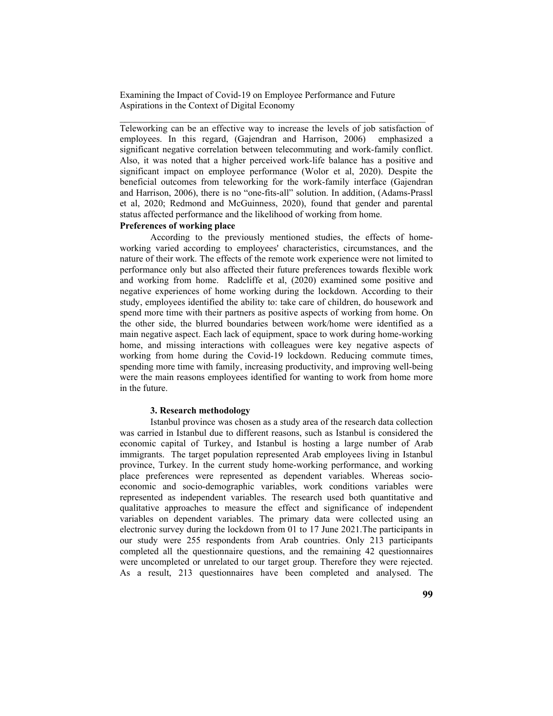Teleworking can be an effective way to increase the levels of job satisfaction of employees. In this regard, (Gajendran and Harrison, 2006) emphasized a significant negative correlation between telecommuting and work-family conflict. Also, it was noted that a higher perceived work-life balance has a positive and significant impact on employee performance (Wolor et al, 2020). Despite the beneficial outcomes from teleworking for the work-family interface (Gajendran and Harrison, 2006), there is no "one-fits-all" solution. In addition, (Adams-Prassl et al, 2020; Redmond and McGuinness, 2020), found that gender and parental status affected performance and the likelihood of working from home.

 $\mathcal{L}_\text{max}$  and the contract of the contract of the contract of the contract of the contract of the contract of

## **Preferences of working place**

According to the previously mentioned studies, the effects of homeworking varied according to employees' characteristics, circumstances, and the nature of their work. The effects of the remote work experience were not limited to performance only but also affected their future preferences towards flexible work and working from home. Radcliffe et al, (2020) examined some positive and negative experiences of home working during the lockdown. According to their study, employees identified the ability to: take care of children, do housework and spend more time with their partners as positive aspects of working from home. On the other side, the blurred boundaries between work/home were identified as a main negative aspect. Each lack of equipment, space to work during home-working home, and missing interactions with colleagues were key negative aspects of working from home during the Covid-19 lockdown. Reducing commute times, spending more time with family, increasing productivity, and improving well-being were the main reasons employees identified for wanting to work from home more in the future.

#### **3. Research methodology**

Istanbul province was chosen as a study area of the research data collection was carried in Istanbul due to different reasons, such as Istanbul is considered the economic capital of Turkey, and Istanbul is hosting a large number of Arab immigrants. The target population represented Arab employees living in Istanbul province, Turkey. In the current study home-working performance, and working place preferences were represented as dependent variables. Whereas socioeconomic and socio-demographic variables, work conditions variables were represented as independent variables. The research used both quantitative and qualitative approaches to measure the effect and significance of independent variables on dependent variables. The primary data were collected using an electronic survey during the lockdown from 01 to 17 June 2021.The participants in our study were 255 respondents from Arab countries. Only 213 participants completed all the questionnaire questions, and the remaining 42 questionnaires were uncompleted or unrelated to our target group. Therefore they were rejected. As a result, 213 questionnaires have been completed and analysed. The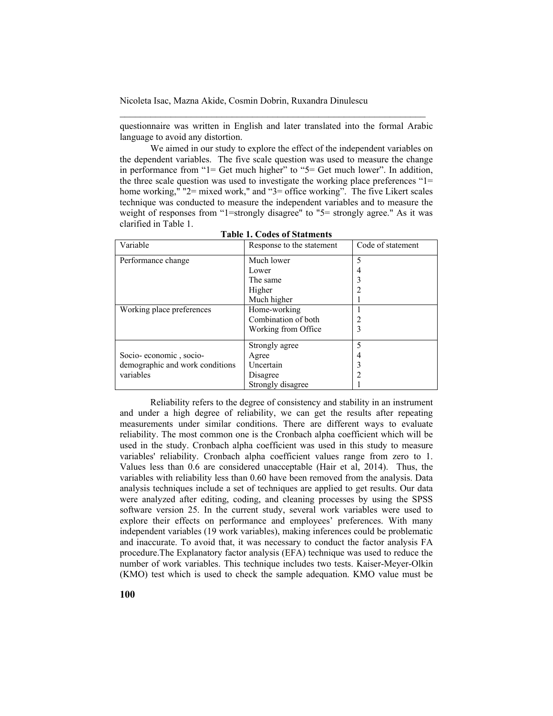questionnaire was written in English and later translated into the formal Arabic language to avoid any distortion.

\_\_\_\_\_\_\_\_\_\_\_\_\_\_\_\_\_\_\_\_\_\_\_\_\_\_\_\_\_\_\_\_\_\_\_\_\_\_\_\_\_\_\_\_\_\_\_\_\_\_\_\_\_\_\_\_\_\_\_\_

We aimed in our study to explore the effect of the independent variables on the dependent variables. The five scale question was used to measure the change in performance from "1= Get much higher" to "5= Get much lower". In addition, the three scale question was used to investigate the working place preferences "1= home working," "2= mixed work," and "3= office working". The five Likert scales technique was conducted to measure the independent variables and to measure the weight of responses from "1=strongly disagree" to "5= strongly agree." As it was clarified in Table 1.

| Variable                        | Response to the statement | Code of statement |
|---------------------------------|---------------------------|-------------------|
| Performance change              | Much lower                | 5                 |
|                                 | Lower                     | 4                 |
|                                 | The same                  |                   |
|                                 | Higher                    |                   |
|                                 | Much higher               |                   |
| Working place preferences       | Home-working              |                   |
|                                 | Combination of both       |                   |
|                                 | Working from Office       | 3                 |
|                                 | Strongly agree            | 5                 |
| Socio-economic, socio-          | Agree                     | 4                 |
| demographic and work conditions | Uncertain                 |                   |
| variables                       | Disagree                  |                   |
|                                 | Strongly disagree         |                   |

**Table 1. Codes of Statments** 

Reliability refers to the degree of consistency and stability in an instrument and under a high degree of reliability, we can get the results after repeating measurements under similar conditions. There are different ways to evaluate reliability. The most common one is the Cronbach alpha coefficient which will be used in the study. Cronbach alpha coefficient was used in this study to measure variables' reliability. Cronbach alpha coefficient values range from zero to 1. Values less than 0.6 are considered unacceptable (Hair et al, 2014). Thus, the variables with reliability less than 0.60 have been removed from the analysis. Data analysis techniques include a set of techniques are applied to get results. Our data were analyzed after editing, coding, and cleaning processes by using the SPSS software version 25. In the current study, several work variables were used to explore their effects on performance and employees' preferences. With many independent variables (19 work variables), making inferences could be problematic and inaccurate. To avoid that, it was necessary to conduct the factor analysis FA procedure.The Explanatory factor analysis (EFA) technique was used to reduce the number of work variables. This technique includes two tests. Kaiser-Meyer-Olkin (KMO) test which is used to check the sample adequation. KMO value must be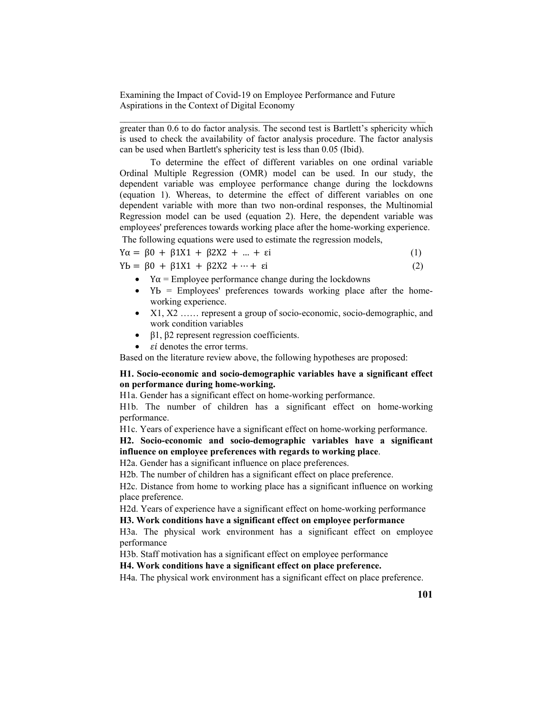greater than 0.6 to do factor analysis. The second test is Bartlett's sphericity which is used to check the availability of factor analysis procedure. The factor analysis can be used when Bartlett's sphericity test is less than 0.05 (Ibid).

 $\mathcal{L}_\text{max}$  and the contract of the contract of the contract of the contract of the contract of the contract of

To determine the effect of different variables on one ordinal variable Ordinal Multiple Regression (OMR) model can be used. In our study, the dependent variable was employee performance change during the lockdowns (equation 1). Whereas, to determine the effect of different variables on one dependent variable with more than two non-ordinal responses, the Multinomial Regression model can be used (equation 2). Here, the dependent variable was employees' preferences towards working place after the home-working experience.

The following equations were used to estimate the regression models,

$$
Y\alpha = \beta 0 + \beta 1X1 + \beta 2X2 + \dots + \varepsilon i \tag{1}
$$

 $Yb = \beta 0 + \beta 1X1 + \beta 2X2 + \cdots + \epsilon i$  (2)

- $Y\alpha$  = Employee performance change during the lockdowns
- Yb = Employees' preferences towards working place after the homeworking experience.
- X1, X2 …… represent a group of socio-economic, socio-demographic, and work condition variables
- $\theta$  β1, β2 represent regression coefficients.
- $\bullet$   $\epsilon i$  denotes the error terms.

Based on the literature review above, the following hypotheses are proposed:

## **H1. Socio-economic and socio-demographic variables have a significant effect on performance during home-working.**

H1a. Gender has a significant effect on home-working performance.

H1b. The number of children has a significant effect on home-working performance.

H1c. Years of experience have a significant effect on home-working performance.

## **H2. Socio-economic and socio-demographic variables have a significant influence on employee preferences with regards to working place**.

H2a. Gender has a significant influence on place preferences.

H2b. The number of children has a significant effect on place preference.

H2c. Distance from home to working place has a significant influence on working place preference.

H2d. Years of experience have a significant effect on home-working performance **H3. Work conditions have a significant effect on employee performance** 

H3a. The physical work environment has a significant effect on employee performance

H3b. Staff motivation has a significant effect on employee performance

**H4. Work conditions have a significant effect on place preference.** 

H4a. The physical work environment has a significant effect on place preference.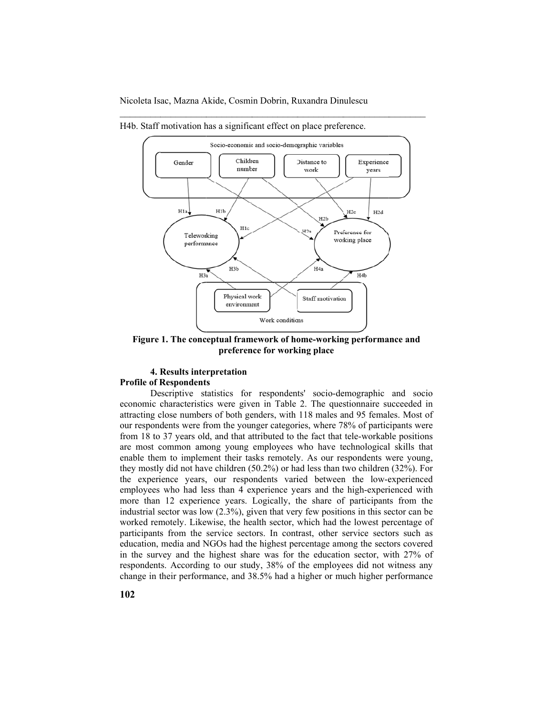

 $\frac{1}{2}$ 

 $\frac{1}{2}$ 

 $\frac{1}{2}$ 

 $\frac{1}{2}$ 

H4b. Staff motivation has a significant effect on place preference.

 $\frac{1}{2}$ 

Figure 1. The conceptual framework of home-working performance and **preference for working place** 

#### **4. Results interpretation**

#### **Profile of Respondents**

 $\frac{1}{2}$ 

 $\frac{1}{2}$ 

Descriptive statistics for respondents' socio-demographic and socio economic characteristics were given in Table 2. The questionnaire succeeded in attracting close numbers of both genders, with 118 males and 95 females. Most of our respondents were from the younger categories, where 78% of participants were from 18 to 37 years old, and that attributed to the fact that tele-workable positions are most common among young employees who have technological skills that enable them to implement their tasks remotely. As our respondents were young, they mostly did not have children  $(50.2%)$  or had less than two children  $(32%)$ . For the experience years, our respondents varied between the low-experienced employees who had less than 4 experience years and the high-experienced with more than 12 experience years. Logically, the share of participants from the industrial sector was low  $(2.3\%)$ , given that very few positions in this sector can be worked remotely. Likewise, the health sector, which had the lowest percentage of participants from the service sectors. In contrast, other service sectors such as education, media and NGOs had the highest percentage among the sectors covered in the survey and the highest share was for the education sector, with 27% of respondents. According to our study, 38% of the employees did not witness any change in their performance, and 38.5% had a higher or much higher performance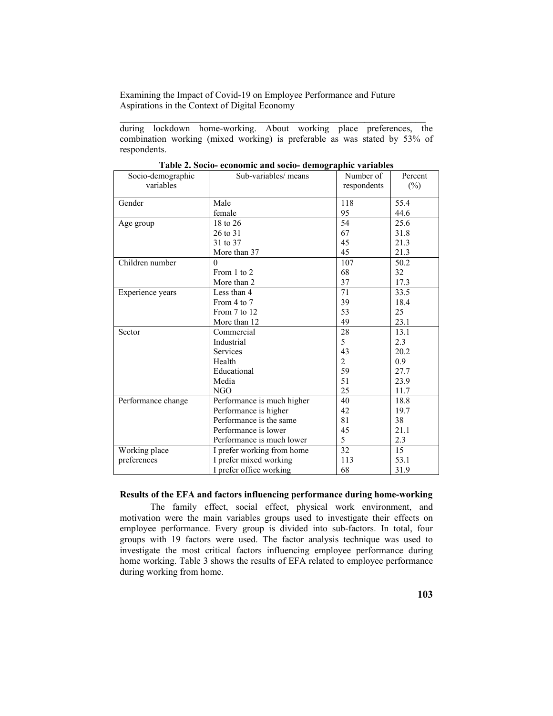during lockdown home-working. About working place preferences, the combination working (mixed working) is preferable as was stated by 53% of respondents.

 $\mathcal{L}_\text{max}$  and the contract of the contract of the contract of the contract of the contract of the contract of

| Socio-demographic<br>variables | Sub-variables/ means       | Number of<br>respondents | Percent<br>$(\%)$ |
|--------------------------------|----------------------------|--------------------------|-------------------|
| Gender                         | Male                       | 118                      | 55.4              |
|                                | female                     | 95                       | 44.6              |
| Age group                      | 18 to 26                   | 54                       | 25.6              |
|                                | 26 to 31                   | 67                       | 31.8              |
|                                | 31 to 37                   | 45                       | 21.3              |
|                                | More than 37               | 45                       | 21.3              |
| Children number                | $\Omega$                   | 107                      | 50.2              |
|                                | From 1 to 2                | 68                       | 32                |
|                                | More than 2                | 37                       | 17.3              |
| Experience years               | Less than 4                | 71                       | 33.5              |
|                                | From 4 to 7                | 39                       | 18.4              |
|                                | From 7 to 12               | 53                       | 25                |
|                                | More than 12               | 49                       | 23.1              |
| Sector                         | Commercial                 | 28                       | 13.1              |
|                                | Industrial                 | 5                        | 2.3               |
|                                | <b>Services</b>            | 43                       | 20.2              |
|                                | Health                     | $\overline{2}$           | 0.9               |
|                                | Educational                | 59                       | 27.7              |
|                                | Media                      | 51                       | 23.9              |
|                                | NGO                        | 25                       | 11.7              |
| Performance change             | Performance is much higher | 40                       | 18.8              |
|                                | Performance is higher      | 42                       | 19.7              |
|                                | Performance is the same    | 81                       | 38                |
|                                | Performance is lower       | 45                       | 21.1              |
|                                | Performance is much lower  | 5                        | 2.3               |
| Working place                  | I prefer working from home | 32                       | 15                |
| preferences                    | I prefer mixed working     | 113                      | 53.1              |
|                                | I prefer office working    | 68                       | 31.9              |

|  | Table 2. Socio- economic and socio- demographic variables |  |  |
|--|-----------------------------------------------------------|--|--|
|  |                                                           |  |  |

## **Results of the EFA and factors influencing performance during home-working**

 The family effect, social effect, physical work environment, and motivation were the main variables groups used to investigate their effects on employee performance. Every group is divided into sub-factors. In total, four groups with 19 factors were used. The factor analysis technique was used to investigate the most critical factors influencing employee performance during home working. Table 3 shows the results of EFA related to employee performance during working from home.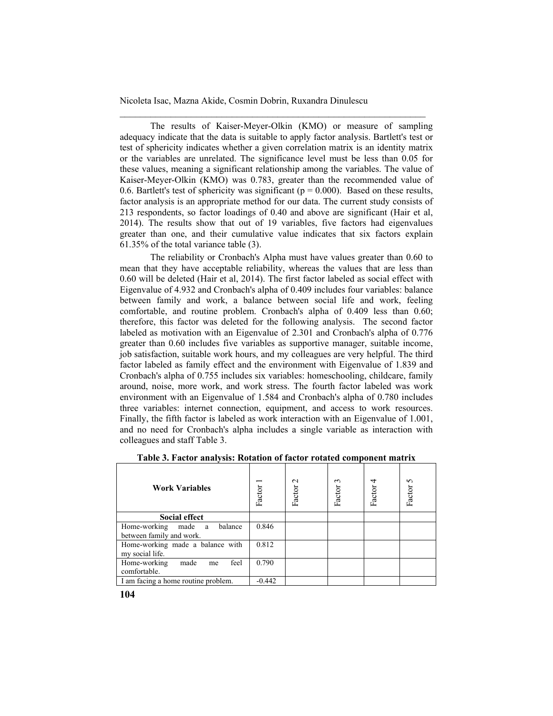The results of Kaiser-Meyer-Olkin (KMO) or measure of sampling adequacy indicate that the data is suitable to apply factor analysis. Bartlett's test or test of sphericity indicates whether a given correlation matrix is an identity matrix or the variables are unrelated. The significance level must be less than 0.05 for these values, meaning a significant relationship among the variables. The value of Kaiser-Meyer-Olkin (KMO) was 0.783, greater than the recommended value of 0.6. Bartlett's test of sphericity was significant ( $p = 0.000$ ). Based on these results, factor analysis is an appropriate method for our data. The current study consists of 213 respondents, so factor loadings of 0.40 and above are significant (Hair et al, 2014). The results show that out of 19 variables, five factors had eigenvalues greater than one, and their cumulative value indicates that six factors explain 61.35% of the total variance table (3).

\_\_\_\_\_\_\_\_\_\_\_\_\_\_\_\_\_\_\_\_\_\_\_\_\_\_\_\_\_\_\_\_\_\_\_\_\_\_\_\_\_\_\_\_\_\_\_\_\_\_\_\_\_\_\_\_\_\_\_\_

The reliability or Cronbach's Alpha must have values greater than 0.60 to mean that they have acceptable reliability, whereas the values that are less than 0.60 will be deleted (Hair et al, 2014). The first factor labeled as social effect with Eigenvalue of 4.932 and Cronbach's alpha of 0.409 includes four variables: balance between family and work, a balance between social life and work, feeling comfortable, and routine problem. Cronbach's alpha of 0.409 less than 0.60; therefore, this factor was deleted for the following analysis. The second factor labeled as motivation with an Eigenvalue of 2.301 and Cronbach's alpha of 0.776 greater than 0.60 includes five variables as supportive manager, suitable income, job satisfaction, suitable work hours, and my colleagues are very helpful. The third factor labeled as family effect and the environment with Eigenvalue of 1.839 and Cronbach's alpha of 0.755 includes six variables: homeschooling, childcare, family around, noise, more work, and work stress. The fourth factor labeled was work environment with an Eigenvalue of 1.584 and Cronbach's alpha of 0.780 includes three variables: internet connection, equipment, and access to work resources. Finally, the fifth factor is labeled as work interaction with an Eigenvalue of 1.001, and no need for Cronbach's alpha includes a single variable as interaction with colleagues and staff Table 3.

| <b>Work Variables</b>               | Factor   | $\mathbf{\sim}$<br>Factor | $\sim$<br>Factor | 4<br>Factor | $\sim$<br>Factor |
|-------------------------------------|----------|---------------------------|------------------|-------------|------------------|
| <b>Social effect</b>                |          |                           |                  |             |                  |
| Home-working<br>balance<br>made a   | 0.846    |                           |                  |             |                  |
| between family and work.            |          |                           |                  |             |                  |
| Home-working made a balance with    | 0.812    |                           |                  |             |                  |
| my social life.                     |          |                           |                  |             |                  |
| Home-working<br>feel<br>made<br>me  | 0.790    |                           |                  |             |                  |
| comfortable.                        |          |                           |                  |             |                  |
| I am facing a home routine problem. | $-0.442$ |                           |                  |             |                  |

**Table 3. Factor analysis: Rotation of factor rotated component matrix**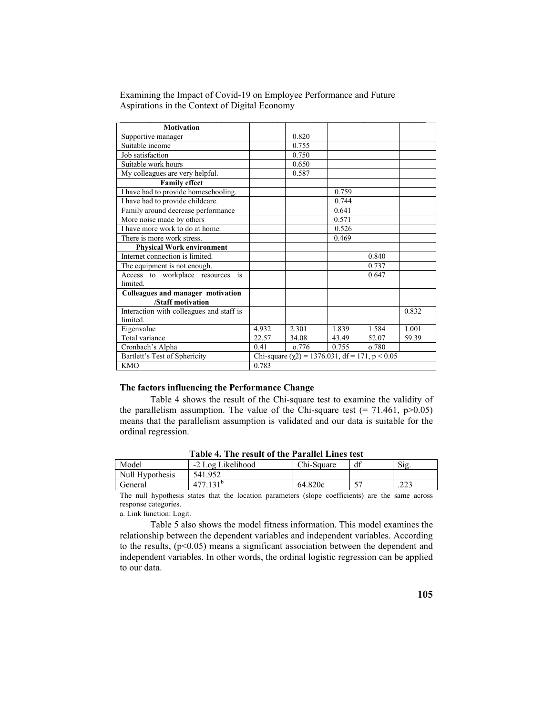| <b>Motivation</b>                        |       |                                                      |       |       |       |
|------------------------------------------|-------|------------------------------------------------------|-------|-------|-------|
| Supportive manager                       |       | 0.820                                                |       |       |       |
| Suitable income                          |       | 0.755                                                |       |       |       |
| Job satisfaction                         |       | 0.750                                                |       |       |       |
| Suitable work hours                      |       | 0.650                                                |       |       |       |
| My colleagues are very helpful.          |       | 0.587                                                |       |       |       |
| <b>Family effect</b>                     |       |                                                      |       |       |       |
| I have had to provide homeschooling.     |       |                                                      | 0.759 |       |       |
| I have had to provide childcare.         |       |                                                      | 0.744 |       |       |
| Family around decrease performance       |       |                                                      | 0.641 |       |       |
| More noise made by others                |       |                                                      | 0.571 |       |       |
| I have more work to do at home.          |       |                                                      | 0.526 |       |       |
| There is more work stress.               |       |                                                      | 0.469 |       |       |
| <b>Physical Work environment</b>         |       |                                                      |       |       |       |
| Internet connection is limited.          |       |                                                      |       | 0.840 |       |
| The equipment is not enough.             |       |                                                      |       | 0.737 |       |
| Access to workplace resources is         |       |                                                      |       | 0.647 |       |
| limited.                                 |       |                                                      |       |       |       |
| Colleagues and manager motivation        |       |                                                      |       |       |       |
| /Staff motivation                        |       |                                                      |       |       |       |
| Interaction with colleagues and staff is |       |                                                      |       |       | 0.832 |
| limited.                                 |       |                                                      |       |       |       |
| Eigenvalue                               | 4.932 | 2.301                                                | 1.839 | 1.584 | 1.001 |
| Total variance                           | 22.57 | 34.08                                                | 43.49 | 52.07 | 59.39 |
| Cronbach's Alpha                         | 0.41  | 0.776                                                | 0.755 | o.780 |       |
| Bartlett's Test of Sphericity            |       | Chi-square $(\chi 2)$ = 1376.031, df = 171, p < 0.05 |       |       |       |
| <b>KMO</b>                               | 0.783 |                                                      |       |       |       |

## **The factors influencing the Performance Change**

Table 4 shows the result of the Chi-square test to examine the validity of the parallelism assumption. The value of the Chi-square test  $(= 71.461, p>0.05)$ means that the parallelism assumption is validated and our data is suitable for the ordinal regression.

|                 | TADIV B THUTURUL OF THUT AFAINT LINUS IOST |            |  |              |  |  |  |  |
|-----------------|--------------------------------------------|------------|--|--------------|--|--|--|--|
| Model           | -2 Log Likelihood                          | Chi-Square |  | Sig          |  |  |  |  |
| Null Hypothesis | 541.952                                    |            |  |              |  |  |  |  |
| General         |                                            | 64.820c    |  | າາາ<br>. 44- |  |  |  |  |

**Table 4. The result of the Parallel Lines test**

The null hypothesis states that the location parameters (slope coefficients) are the same across response categories.

a. Link function: Logit.

Table 5 also shows the model fitness information. This model examines the relationship between the dependent variables and independent variables. According to the results,  $(p<0.05)$  means a significant association between the dependent and independent variables. In other words, the ordinal logistic regression can be applied to our data.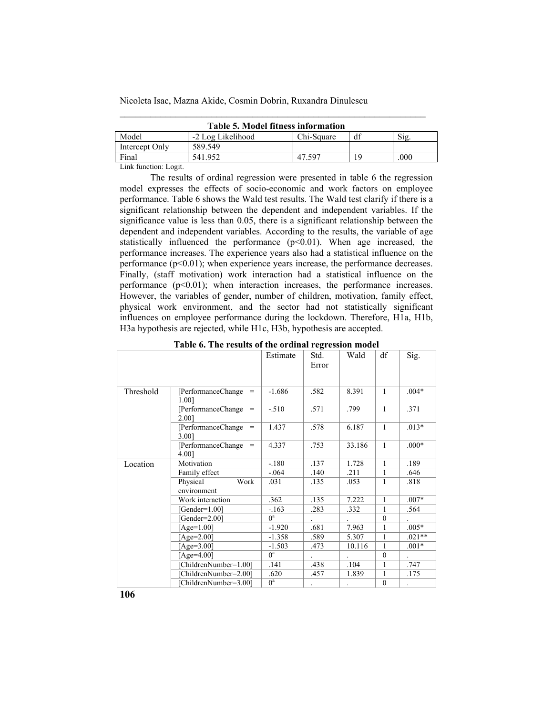| <b>Table 5. Model fitness information</b> |                   |            |    |      |  |  |  |  |
|-------------------------------------------|-------------------|------------|----|------|--|--|--|--|
| Model                                     | -2 Log Likelihood | Chi-Square | df | Sig  |  |  |  |  |
| Intercept Only                            | 589.549           |            |    |      |  |  |  |  |
| Final                                     | 541.952           | 47.597     |    | .000 |  |  |  |  |
|                                           |                   |            |    |      |  |  |  |  |

\_\_\_\_\_\_\_\_\_\_\_\_\_\_\_\_\_\_\_\_\_\_\_\_\_\_\_\_\_\_\_\_\_\_\_\_\_\_\_\_\_\_\_\_\_\_\_\_\_\_\_\_\_\_\_\_\_\_\_\_

Link function: Logit.

The results of ordinal regression were presented in table 6 the regression model expresses the effects of socio-economic and work factors on employee performance. Table 6 shows the Wald test results. The Wald test clarify if there is a significant relationship between the dependent and independent variables. If the significance value is less than 0.05, there is a significant relationship between the dependent and independent variables. According to the results, the variable of age statistically influenced the performance  $(p<0.01)$ . When age increased, the performance increases. The experience years also had a statistical influence on the performance (p<0.01); when experience years increase, the performance decreases. Finally, (staff motivation) work interaction had a statistical influence on the performance  $(p<0.01)$ ; when interaction increases, the performance increases. However, the variables of gender, number of children, motivation, family effect, physical work environment, and the sector had not statistically significant influences on employee performance during the lockdown. Therefore, H1a, H1b, H3a hypothesis are rejected, while H1c, H3b, hypothesis are accepted.

|           |                                     | Estimate | Std.  | Wald   | df           | Sig.     |
|-----------|-------------------------------------|----------|-------|--------|--------------|----------|
|           |                                     |          | Error |        |              |          |
|           |                                     |          |       |        |              |          |
| Threshold | [PerformanceChange]<br>$=$<br>1.001 | $-1.686$ | .582  | 8.391  | $\mathbf{1}$ | $.004*$  |
|           | [PerformanceChange]<br>$=$<br>2.001 | $-.510$  | .571  | .799   | 1            | .371     |
|           | [PerformanceChange]<br>$=$<br>3.001 | 1.437    | .578  | 6.187  | $\mathbf{1}$ | $.013*$  |
|           | [PerformanceChange]<br>$=$<br>4.00] | 4.337    | .753  | 33.186 | $\mathbf{1}$ | $.000*$  |
| Location  | Motivation                          | $-.180$  | .137  | 1.728  | 1            | .189     |
|           | Family effect                       | $-.064$  | .140  | .211   | 1            | .646     |
|           | Physical<br>Work<br>environment     | .031     | .135  | .053   | 1            | .818     |
|           | Work interaction                    | .362     | .135  | 7.222  | $\mathbf{1}$ | $.007*$  |
|           | [Gender= $1.00$ ]                   | $-163$   | .283  | .332   | 1            | .564     |
|           | Gender= $2.00$ ]                    | $0^a$    |       |        | $\theta$     |          |
|           | $[Age=1.00]$                        | $-1.920$ | .681  | 7.963  | 1            | $.005*$  |
|           | $[Age=2.00]$                        | $-1.358$ | .589  | 5.307  | 1            | $.021**$ |
|           | [Age= $3.00$ ]                      | $-1.503$ | .473  | 10.116 | 1            | $.001*$  |
|           | $[Age=4.00]$                        | $0^a$    |       |        | $\theta$     |          |
|           | [ChildrenNumber=1.00]               | .141     | .438  | .104   | 1            | .747     |
|           | [ChildrenNumber=2.00]               | .620     | .457  | 1.839  | 1            | .175     |
|           | ChildrenNumber=3.001                | $0^a$    |       |        | $\theta$     |          |

|  |  |  | Table 6. The results of the ordinal regression model |  |
|--|--|--|------------------------------------------------------|--|
|  |  |  |                                                      |  |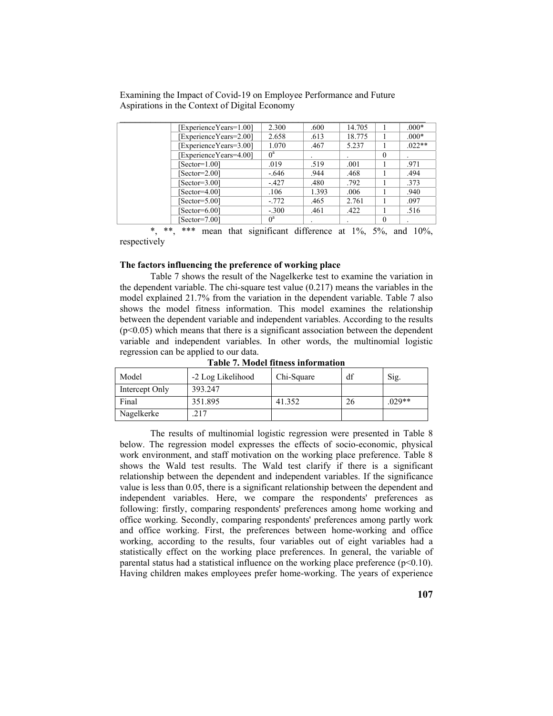| Experience Years=1.00] | 2.300   | .600  | 14.705 |          | $.000*$ |
|------------------------|---------|-------|--------|----------|---------|
| Experience Years=2.00] | 2.658   | .613  | 18.775 |          | $.000*$ |
| Experience Years=3.00] | 1.070   | .467  | 5.237  |          | $022**$ |
| ExperienceYears=4.00]  | $0^a$   |       |        | $\theta$ |         |
| $[Section=1.00]$       | .019    | .519  | .001   |          | .971    |
| $[Section=2.00]$       | - 646   | .944  | .468   |          | .494    |
| $[Section=3.00]$       | $-427$  | .480  | .792   |          | .373    |
| $[Section=4.00]$       | .106    | 1.393 | .006   |          | .940    |
| $[Section=5.00]$       | $-772$  | .465  | 2.761  |          | .097    |
| $[Section=6.00]$       | $-.300$ | .461  | .422   |          | .516    |
| $[Section=7.00]$       | $0^a$   |       |        | 0        |         |
|                        |         |       |        |          |         |

\*\*\* mean that significant difference at  $1\%$ ,  $5\%$ , and  $10\%$ , respectively

#### **The factors influencing the preference of working place**

Table 7 shows the result of the Nagelkerke test to examine the variation in the dependent variable. The chi-square test value (0.217) means the variables in the model explained 21.7% from the variation in the dependent variable. Table 7 also shows the model fitness information. This model examines the relationship between the dependent variable and independent variables. According to the results  $(p<0.05)$  which means that there is a significant association between the dependent variable and independent variables. In other words, the multinomial logistic regression can be applied to our data.

| Model          | -2 Log Likelihood | Chi-Square | df | Sig.     |
|----------------|-------------------|------------|----|----------|
| Intercept Only | 393.247           |            |    |          |
| Final          | 351.895           | 41.352     | 26 | $.029**$ |
| Nagelkerke     | 217               |            |    |          |

**Table 7. Model fitness information** 

The results of multinomial logistic regression were presented in Table 8 below. The regression model expresses the effects of socio-economic, physical work environment, and staff motivation on the working place preference. Table 8 shows the Wald test results. The Wald test clarify if there is a significant relationship between the dependent and independent variables. If the significance value is less than 0.05, there is a significant relationship between the dependent and independent variables. Here, we compare the respondents' preferences as following: firstly, comparing respondents' preferences among home working and office working. Secondly, comparing respondents' preferences among partly work and office working. First, the preferences between home-working and office working, according to the results, four variables out of eight variables had a statistically effect on the working place preferences. In general, the variable of parental status had a statistical influence on the working place preference  $(p<0.10)$ . Having children makes employees prefer home-working. The years of experience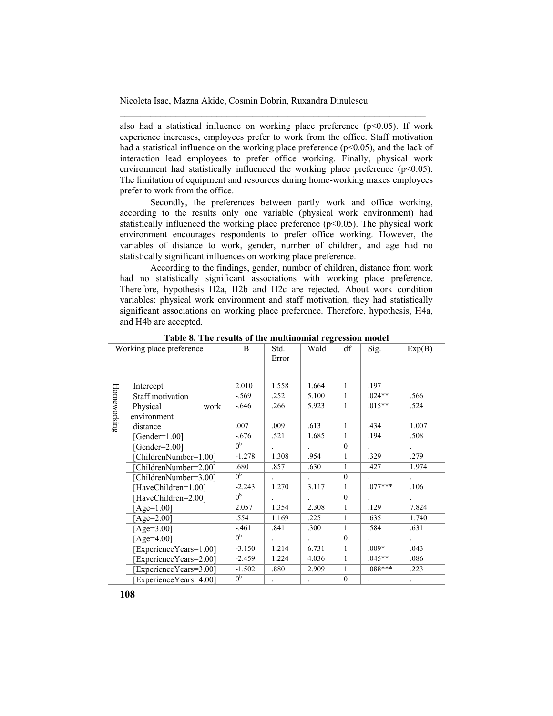also had a statistical influence on working place preference  $(p<0.05)$ . If work experience increases, employees prefer to work from the office. Staff motivation had a statistical influence on the working place preference  $(p<0.05)$ , and the lack of interaction lead employees to prefer office working. Finally, physical work environment had statistically influenced the working place preference  $(p<0.05)$ . The limitation of equipment and resources during home-working makes employees prefer to work from the office.

\_\_\_\_\_\_\_\_\_\_\_\_\_\_\_\_\_\_\_\_\_\_\_\_\_\_\_\_\_\_\_\_\_\_\_\_\_\_\_\_\_\_\_\_\_\_\_\_\_\_\_\_\_\_\_\_\_\_\_\_

Secondly, the preferences between partly work and office working, according to the results only one variable (physical work environment) had statistically influenced the working place preference  $(p<0.05)$ . The physical work environment encourages respondents to prefer office working. However, the variables of distance to work, gender, number of children, and age had no statistically significant influences on working place preference.

According to the findings, gender, number of children, distance from work had no statistically significant associations with working place preference. Therefore, hypothesis H2a, H2b and H2c are rejected. About work condition variables: physical work environment and staff motivation, they had statistically significant associations on working place preference. Therefore, hypothesis, H4a, and H4b are accepted.

| Working place preference |                         | B              | Std.<br>Error | Wald  | df           | Sig.      | Exp(B) |
|--------------------------|-------------------------|----------------|---------------|-------|--------------|-----------|--------|
|                          | Intercept               | 2.010          | 1.558         | 1.664 | $\mathbf{1}$ | .197      |        |
|                          | <b>Staff motivation</b> | $-.569$        | .252          | 5.100 | $\mathbf{1}$ | $.024**$  | .566   |
| Homeworking              | Physical<br>work        | $-.646$        | .266          | 5.923 | $\mathbf{1}$ | $.015**$  | .524   |
|                          | environment             |                |               |       |              |           |        |
|                          | distance                | .007           | .009          | .613  | $\mathbf{1}$ | .434      | 1.007  |
|                          | [Gender=1.00]           | $-.676$        | .521          | 1.685 | $\mathbf{1}$ | .194      | .508   |
|                          | [Gender= $2.00$ ]       | 0 <sub>p</sub> |               |       | $\theta$     |           |        |
|                          | [ChildrenNumber=1.00]   | $-1.278$       | 1.308         | .954  | $\mathbf{1}$ | .329      | .279   |
|                          | [ChildrenNumber=2.00]   | .680           | .857          | .630  | $\mathbf{1}$ | .427      | 1.974  |
|                          | [ChildrenNumber=3.00]   | 0 <sup>b</sup> |               |       | $\mathbf{0}$ |           |        |
|                          | [HaveChildren=1.00]     | $-2.243$       | 1.270         | 3.117 | $\mathbf{1}$ | $.077***$ | .106   |
|                          | [HaveChildren=2.00]     | $0^{\rm b}$    |               |       | $\theta$     |           |        |
|                          | [Age= $1.00$ ]          | 2.057          | 1.354         | 2.308 | $\mathbf{1}$ | .129      | 7.824  |
|                          | [Age= $2.00$ ]          | .554           | 1.169         | .225  | $\mathbf{1}$ | .635      | 1.740  |
|                          | [Age= $3.00$ ]          | $-.461$        | .841          | .300  | $\mathbf{1}$ | .584      | .631   |
|                          | [Age=4.00]              | 0 <sup>b</sup> |               |       | $\mathbf{0}$ |           |        |
|                          | [ExperienceYears=1.00]  | $-3.150$       | 1.214         | 6.731 | $\mathbf{1}$ | $.009*$   | .043   |
|                          | Experience Years=2.00]  | $-2.459$       | 1.224         | 4.036 | $\mathbf{1}$ | $.045**$  | .086   |
|                          | ExperienceYears=3.00]   | $-1.502$       | .880          | 2.909 | 1            | $.088***$ | .223   |
|                          | Experience Years=4.001  | 0 <sup>b</sup> |               |       | $\mathbf{0}$ |           |        |

**Table 8. The results of the multinomial regression model**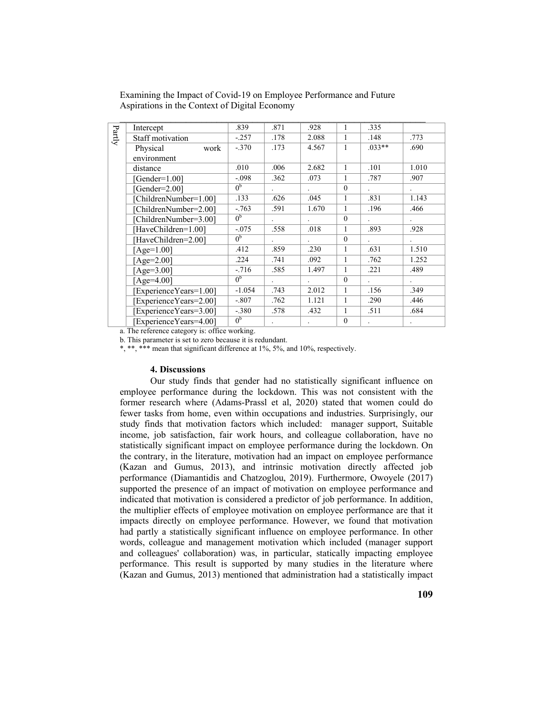| $\mbox{Partly}$ | Intercept               | .839           | .871                 | .928         | 1            | .335    |                      |
|-----------------|-------------------------|----------------|----------------------|--------------|--------------|---------|----------------------|
|                 | <b>Staff motivation</b> | $-.257$        | .178                 | 2.088        | 1            | .148    | .773                 |
|                 | Physical<br>work        | $-.370$        | .173                 | 4.567        | 1            | $033**$ | .690                 |
|                 | environment             |                |                      |              |              |         |                      |
|                 | distance                | .010           | .006                 | 2.682        | $\mathbf{1}$ | .101    | 1.010                |
|                 | $Gender=1.001$          | $-.098$        | .362                 | .073         | 1            | .787    | .907                 |
|                 | Gender=2.001            | 0 <sub>p</sub> |                      |              | $\Omega$     |         | $\ddot{\phantom{0}}$ |
|                 | [ChildrenNumber=1.00]   | .133           | .626                 | .045         | 1            | .831    | 1.143                |
|                 | [ChildrenNumber=2.00]   | $-.763$        | .591                 | 1.670        | 1            | .196    | .466                 |
|                 | [ChildrenNumber=3.00]   | 0 <sub>p</sub> |                      |              | $\theta$     |         | $\ddot{\phantom{0}}$ |
|                 | [HaveChildren=1.00]     | $-.075$        | .558                 | .018         | $\mathbf{1}$ | .893    | .928                 |
|                 | HaveChildren=2.00]      | 0 <sub>p</sub> | $\ddot{\phantom{0}}$ | $\mathbf{r}$ | $\theta$     |         | $\ddot{\phantom{a}}$ |
|                 | [Age= $1.00$ ]          | .412           | .859                 | .230         | $\mathbf{1}$ | .631    | 1.510                |
|                 | [Age= $2.00$ ]          | .224           | .741                 | .092         | 1            | .762    | 1.252                |
|                 | [Age= $3.00$ ]          | $-.716$        | .585                 | 1.497        | 1            | .221    | .489                 |
|                 | [Age= $4.00$ ]          | 0 <sub>p</sub> | $\ddot{\phantom{0}}$ |              | $\theta$     |         | $\ddot{\phantom{0}}$ |
|                 | [ExperienceYears=1.00]  | $-1.054$       | .743                 | 2.012        | 1            | .156    | .349                 |
|                 | [ExperienceYears=2.00]  | $-.807$        | .762                 | 1.121        | 1            | .290    | .446                 |
|                 | [ExperienceYears=3.00]  | $-.380$        | .578                 | .432         | 1            | .511    | .684                 |
|                 | [ExperienceYears=4.00]  | 0 <sub>p</sub> |                      |              | $\theta$     |         |                      |

a. The reference category is: office working.

b. This parameter is set to zero because it is redundant.

\*, \*\*, \*\*\* mean that significant difference at 1%, 5%, and 10%, respectively.

#### **4. Discussions**

Our study finds that gender had no statistically significant influence on employee performance during the lockdown. This was not consistent with the former research where (Adams-Prassl et al, 2020) stated that women could do fewer tasks from home, even within occupations and industries. Surprisingly, our study finds that motivation factors which included: manager support, Suitable income, job satisfaction, fair work hours, and colleague collaboration, have no statistically significant impact on employee performance during the lockdown. On the contrary, in the literature, motivation had an impact on employee performance (Kazan and Gumus, 2013), and intrinsic motivation directly affected job performance (Diamantidis and Chatzoglou, 2019). Furthermore, Owoyele (2017) supported the presence of an impact of motivation on employee performance and indicated that motivation is considered a predictor of job performance. In addition, the multiplier effects of employee motivation on employee performance are that it impacts directly on employee performance. However, we found that motivation had partly a statistically significant influence on employee performance. In other words, colleague and management motivation which included (manager support and colleagues' collaboration) was, in particular, statically impacting employee performance. This result is supported by many studies in the literature where (Kazan and Gumus, 2013) mentioned that administration had a statistically impact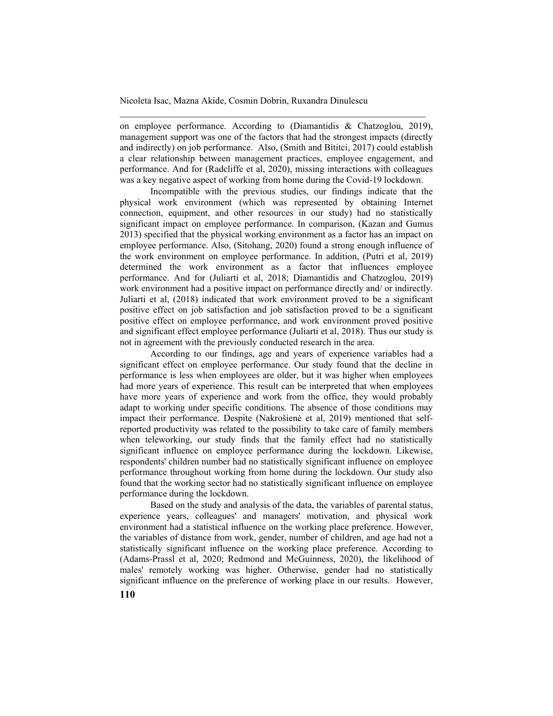on employee performance. According to (Diamantidis & Chatzoglou, 2019), management support was one of the factors that had the strongest impacts (directly and indirectly) on job performance. Also, (Smith and Bititci, 2017) could establish a clear relationship between management practices, employee engagement, and performance. And for (Radcliffe et al, 2020), missing interactions with colleagues was a key negative aspect of working from home during the Covid-19 lockdown.

\_\_\_\_\_\_\_\_\_\_\_\_\_\_\_\_\_\_\_\_\_\_\_\_\_\_\_\_\_\_\_\_\_\_\_\_\_\_\_\_\_\_\_\_\_\_\_\_\_\_\_\_\_\_\_\_\_\_\_\_

Incompatible with the previous studies, our findings indicate that the physical work environment (which was represented by obtaining Internet connection, equipment, and other resources in our study) had no statistically significant impact on employee performance. In comparison, (Kazan and Gumus 2013) specified that the physical working environment as a factor has an impact on employee performance. Also, (Sitohang, 2020) found a strong enough influence of the work environment on employee performance. In addition, (Putri et al, 2019) determined the work environment as a factor that influences employee performance. And for (Juliarti et al, 2018; Diamantidis and Chatzoglou, 2019) work environment had a positive impact on performance directly and/ or indirectly. Juliarti et al, (2018) indicated that work environment proved to be a significant positive effect on job satisfaction and job satisfaction proved to be a significant positive effect on employee performance, and work environment proved positive and significant effect employee performance (Juliarti et al, 2018). Thus our study is not in agreement with the previously conducted research in the area.

According to our findings, age and years of experience variables had a significant effect on employee performance. Our study found that the decline in performance is less when employees are older, but it was higher when employees had more years of experience. This result can be interpreted that when employees have more years of experience and work from the office, they would probably adapt to working under specific conditions. The absence of those conditions may impact their performance. Despite (Nakrošienė et al, 2019) mentioned that selfreported productivity was related to the possibility to take care of family members when teleworking, our study finds that the family effect had no statistically significant influence on employee performance during the lockdown. Likewise, respondents' children number had no statistically significant influence on employee performance throughout working from home during the lockdown. Our study also found that the working sector had no statistically significant influence on employee performance during the lockdown.

 Based on the study and analysis of the data, the variables of parental status, experience years, colleagues' and managers' motivation, and physical work environment had a statistical influence on the working place preference. However, the variables of distance from work, gender, number of children, and age had not a statistically significant influence on the working place preference. According to (Adams-Prassl et al, 2020; Redmond and McGuinness, 2020), the likelihood of males' remotely working was higher. Otherwise, gender had no statistically significant influence on the preference of working place in our results. However,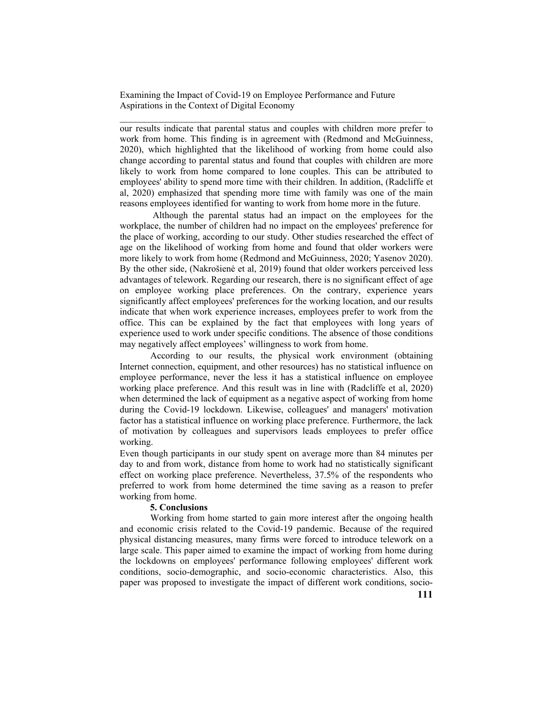our results indicate that parental status and couples with children more prefer to work from home. This finding is in agreement with (Redmond and McGuinness, 2020), which highlighted that the likelihood of working from home could also change according to parental status and found that couples with children are more likely to work from home compared to lone couples. This can be attributed to employees' ability to spend more time with their children. In addition, (Radcliffe et al, 2020) emphasized that spending more time with family was one of the main reasons employees identified for wanting to work from home more in the future.

 $\mathcal{L}_\text{max}$  and the contract of the contract of the contract of the contract of the contract of the contract of

 Although the parental status had an impact on the employees for the workplace, the number of children had no impact on the employees' preference for the place of working, according to our study. Other studies researched the effect of age on the likelihood of working from home and found that older workers were more likely to work from home (Redmond and McGuinness, 2020; Yasenov 2020). By the other side, (Nakrošienė et al, 2019) found that older workers perceived less advantages of telework. Regarding our research, there is no significant effect of age on employee working place preferences. On the contrary, experience years significantly affect employees' preferences for the working location, and our results indicate that when work experience increases, employees prefer to work from the office. This can be explained by the fact that employees with long years of experience used to work under specific conditions. The absence of those conditions may negatively affect employees' willingness to work from home.

According to our results, the physical work environment (obtaining Internet connection, equipment, and other resources) has no statistical influence on employee performance, never the less it has a statistical influence on employee working place preference. And this result was in line with (Radcliffe et al, 2020) when determined the lack of equipment as a negative aspect of working from home during the Covid-19 lockdown. Likewise, colleagues' and managers' motivation factor has a statistical influence on working place preference. Furthermore, the lack of motivation by colleagues and supervisors leads employees to prefer office working.

Even though participants in our study spent on average more than 84 minutes per day to and from work, distance from home to work had no statistically significant effect on working place preference. Nevertheless, 37.5% of the respondents who preferred to work from home determined the time saving as a reason to prefer working from home.

## **5. Conclusions**

Working from home started to gain more interest after the ongoing health and economic crisis related to the Covid-19 pandemic. Because of the required physical distancing measures, many firms were forced to introduce telework on a large scale. This paper aimed to examine the impact of working from home during the lockdowns on employees' performance following employees' different work conditions, socio-demographic, and socio-economic characteristics. Also, this paper was proposed to investigate the impact of different work conditions, socio-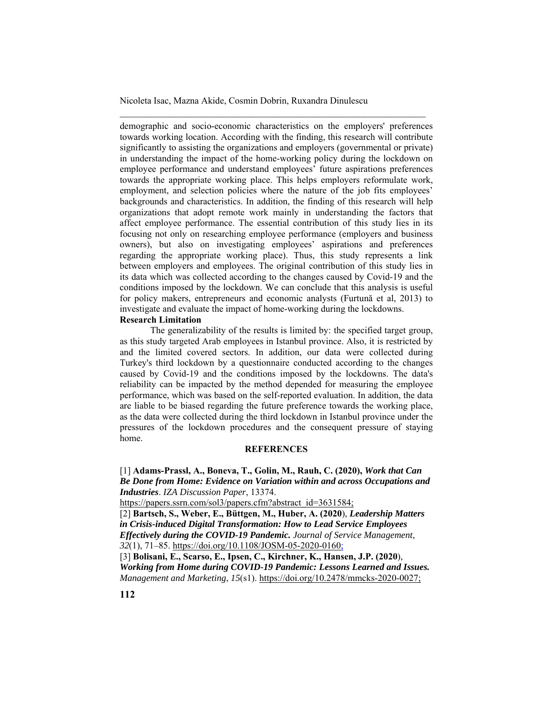demographic and socio-economic characteristics on the employers' preferences towards working location. According with the finding, this research will contribute significantly to assisting the organizations and employers (governmental or private) in understanding the impact of the home-working policy during the lockdown on employee performance and understand employees' future aspirations preferences towards the appropriate working place. This helps employers reformulate work, employment, and selection policies where the nature of the job fits employees' backgrounds and characteristics. In addition, the finding of this research will help organizations that adopt remote work mainly in understanding the factors that affect employee performance. The essential contribution of this study lies in its focusing not only on researching employee performance (employers and business owners), but also on investigating employees' aspirations and preferences regarding the appropriate working place). Thus, this study represents a link between employers and employees. The original contribution of this study lies in its data which was collected according to the changes caused by Covid-19 and the conditions imposed by the lockdown. We can conclude that this analysis is useful for policy makers, entrepreneurs and economic analysts (Furtună et al, 2013) to investigate and evaluate the impact of home-working during the lockdowns.

\_\_\_\_\_\_\_\_\_\_\_\_\_\_\_\_\_\_\_\_\_\_\_\_\_\_\_\_\_\_\_\_\_\_\_\_\_\_\_\_\_\_\_\_\_\_\_\_\_\_\_\_\_\_\_\_\_\_\_\_

#### **Research Limitation**

The generalizability of the results is limited by: the specified target group, as this study targeted Arab employees in Istanbul province. Also, it is restricted by and the limited covered sectors. In addition, our data were collected during Turkey's third lockdown by a questionnaire conducted according to the changes caused by Covid-19 and the conditions imposed by the lockdowns. The data's reliability can be impacted by the method depended for measuring the employee performance, which was based on the self-reported evaluation. In addition, the data are liable to be biased regarding the future preference towards the working place, as the data were collected during the third lockdown in Istanbul province under the pressures of the lockdown procedures and the consequent pressure of staying home.

#### **REFERENCES**

[1] **Adams-Prassl, A., Boneva, T., Golin, M., Rauh, C. (2020),** *Work that Can Be Done from Home: Evidence on Variation within and across Occupations and Industries*. *IZA Discussion Paper*, 13374.

https://papers.ssrn.com/sol3/papers.cfm?abstract\_id=3631584;

[2] **Bartsch, S., Weber, E., Büttgen, M., Huber, A. (2020**), *Leadership Matters in Crisis-induced Digital Transformation: How to Lead Service Employees Effectively during the COVID-19 Pandemic. Journal of Service Management*, *32*(1), 71–85. https://doi.org/10.1108/JOSM-05-2020-0160;

[3] **Bolisani, E., Scarso, E., Ipsen, C., Kirchner, K., Hansen, J.P. (2020**), *Working from Home during COVID-19 Pandemic: Lessons Learned and Issues. Management and Marketing*, *15*(s1). https://doi.org/10.2478/mmcks-2020-0027;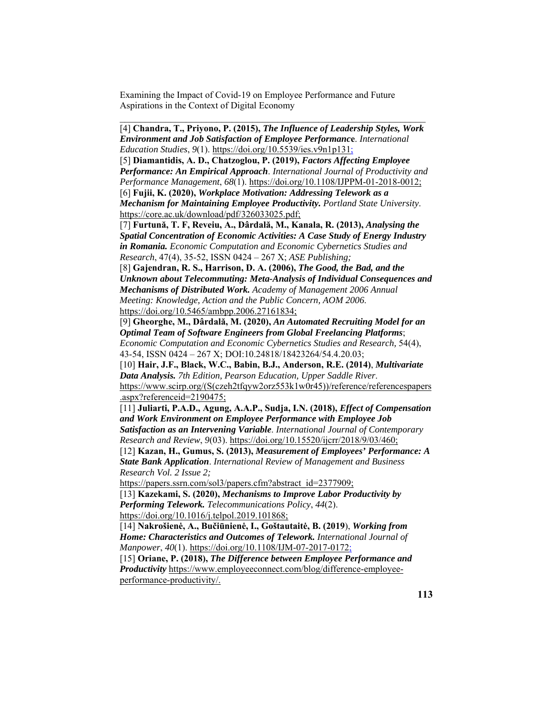$\mathcal{L}_\text{max}$  and the contract of the contract of the contract of the contract of the contract of the contract of

[4] **Chandra, T., Priyono, P. (2015),** *The Influence of Leadership Styles, Work Environment and Job Satisfaction of Employee Performanc***e**. *International Education Studies*, *9*(1). https://doi.org/10.5539/ies.v9n1p131; [5] **Diamantidis, A. D., Chatzoglou, P. (2019),** *Factors Affecting Employee Performance: An Empirical Approach*. *International Journal of Productivity and Performance Management*, *68*(1). https://doi.org/10.1108/IJPPM-01-2018-0012; [6] **Fujii, K. (2020),** *Workplace Motivation: Addressing Telework as a Mechanism for Maintaining Employee Productivity. Portland State University*. https://core.ac.uk/download/pdf/326033025.pdf; [7] **Furtună, T. F, Reveiu, A., Dârdală, M., Kanala, R. (2013),** *Analysing the Spatial Concentration of Economic Activities: A Case Study of Energy Industry in Romania. Economic Computation and Economic Cybernetics Studies and Research*, 47(4), 35-52, ISSN 0424 – 267 X; *ASE Publishing;*  [8] **Gajendran, R. S., Harrison, D. A. (2006),** *The Good, the Bad, and the Unknown about Telecommuting: Meta-Analysis of Individual Consequences and Mechanisms of Distributed Work. Academy of Management 2006 Annual Meeting: Knowledge, Action and the Public Concern, AOM 2006*. https://doi.org/10.5465/ambpp.2006.27161834; [9] **Gheorghe, M., Dârdală, M. (2020),** *An Automated Recruiting Model for an Optimal Team of Software Engineers from Global Freelancing Platforms*; *Economic Computation and Economic Cybernetics Studies and Research,* 54(4), 43-54, ISSN 0424 – 267 X; DOI:10.24818/18423264/54.4.20.03; [10] **Hair, J.F., Black, W.C., Babin, B.J., Anderson, R.E. (2014)**, *Multivariate Data Analysis. 7th Edition, Pearson Education, Upper Saddle River*. https://www.scirp.org/(S(czeh2tfqyw2orz553k1w0r45))/reference/referencespapers .aspx?referenceid=2190475;

[11] **Juliarti, P.A.D., Agung, A.A.P., Sudja, I.N. (2018),** *Effect of Compensation and Work Environment on Employee Performance with Employee Job Satisfaction as an Intervening Variable*. *International Journal of Contemporary Research and Review*, *9*(03). https://doi.org/10.15520/ijcrr/2018/9/03/460;

[12] **Kazan, H., Gumus, S. (2013),** *Measurement of Employees' Performance: A State Bank Application*. *International Review of Management and Business Research Vol. 2 Issue 2;* 

https://papers.ssrn.com/sol3/papers.cfm?abstract\_id=2377909;

[13] **Kazekami, S. (2020),** *Mechanisms to Improve Labor Productivity by Performing Telework. Telecommunications Policy*, *44*(2). https://doi.org/10.1016/j.telpol.2019.101868;

[14] **Nakrošienė, A., Bučiūnienė, I., Goštautaitė, B. (2019**), *Working from Home: Characteristics and Outcomes of Telework. International Journal of Manpower*, *40*(1). https://doi.org/10.1108/IJM-07-2017-0172;

[15] **Oriane, P. (2018),** *The Difference between Employee Performance and Productivity* https://www.employeeconnect.com/blog/difference-employeeperformance-productivity/.